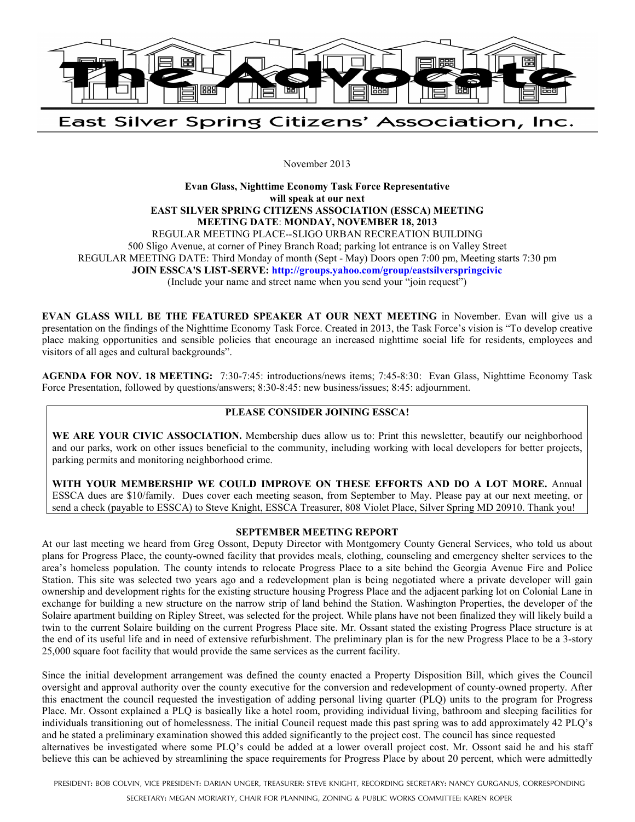

East Silver Spring Citizens' Association, Inc.

November 2013

**Evan Glass, Nighttime Economy Task Force Representative will speak at our next EAST SILVER SPRING CITIZENS ASSOCIATION (ESSCA) MEETING MEETING DATE**: **MONDAY, NOVEMBER 18, 2013**  REGULAR MEETING PLACE--SLIGO URBAN RECREATION BUILDING 500 Sligo Avenue, at corner of Piney Branch Road; parking lot entrance is on Valley Street REGULAR MEETING DATE: Third Monday of month (Sept - May) Doors open 7:00 pm, Meeting starts 7:30 pm **JOIN ESSCA'S LIST-SERVE: http://groups.yahoo.com/group/eastsilverspringcivic** (Include your name and street name when you send your "join request")

**EVAN GLASS WILL BE THE FEATURED SPEAKER AT OUR NEXT MEETING** in November. Evan will give us a presentation on the findings of the Nighttime Economy Task Force. Created in 2013, the Task Force's vision is "To develop creative place making opportunities and sensible policies that encourage an increased nighttime social life for residents, employees and visitors of all ages and cultural backgrounds".

**AGENDA FOR NOV. 18 MEETING:** 7:30-7:45: introductions/news items; 7:45-8:30: Evan Glass, Nighttime Economy Task Force Presentation, followed by questions/answers; 8:30-8:45: new business/issues; 8:45: adjournment.

## **PLEASE CONSIDER JOINING ESSCA!**

WE ARE YOUR CIVIC ASSOCIATION. Membership dues allow us to: Print this newsletter, beautify our neighborhood and our parks, work on other issues beneficial to the community, including working with local developers for better projects, parking permits and monitoring neighborhood crime.

**WITH YOUR MEMBERSHIP WE COULD IMPROVE ON THESE EFFORTS AND DO A LOT MORE.** Annual ESSCA dues are \$10/family. Dues cover each meeting season, from September to May. Please pay at our next meeting, or send a check (payable to ESSCA) to Steve Knight, ESSCA Treasurer, 808 Violet Place, Silver Spring MD 20910. Thank you!

## **SEPTEMBER MEETING REPORT**

At our last meeting we heard from Greg Ossont, Deputy Director with Montgomery County General Services, who told us about plans for Progress Place, the county-owned facility that provides meals, clothing, counseling and emergency shelter services to the area's homeless population. The county intends to relocate Progress Place to a site behind the Georgia Avenue Fire and Police Station. This site was selected two years ago and a redevelopment plan is being negotiated where a private developer will gain ownership and development rights for the existing structure housing Progress Place and the adjacent parking lot on Colonial Lane in exchange for building a new structure on the narrow strip of land behind the Station. Washington Properties, the developer of the Solaire apartment building on Ripley Street, was selected for the project. While plans have not been finalized they will likely build a twin to the current Solaire building on the current Progress Place site. Mr. Ossant stated the existing Progress Place structure is at the end of its useful life and in need of extensive refurbishment. The preliminary plan is for the new Progress Place to be a 3-story 25,000 square foot facility that would provide the same services as the current facility.

Since the initial development arrangement was defined the county enacted a Property Disposition Bill, which gives the Council oversight and approval authority over the county executive for the conversion and redevelopment of county-owned property. After this enactment the council requested the investigation of adding personal living quarter (PLQ) units to the program for Progress Place. Mr. Ossont explained a PLQ is basically like a hotel room, providing individual living, bathroom and sleeping facilities for individuals transitioning out of homelessness. The initial Council request made this past spring was to add approximately 42 PLQ's and he stated a preliminary examination showed this added significantly to the project cost. The council has since requested alternatives be investigated where some PLQ's could be added at a lower overall project cost. Mr. Ossont said he and his staff believe this can be achieved by streamlining the space requirements for Progress Place by about 20 percent, which were admittedly

PRESIDENT: BOB COLVIN, VICE PRESIDENT: DARIAN UNGER, TREASURER: STEVE KNIGHT, RECORDING SECRETARY: NANCY GURGANUS, CORRESPONDING